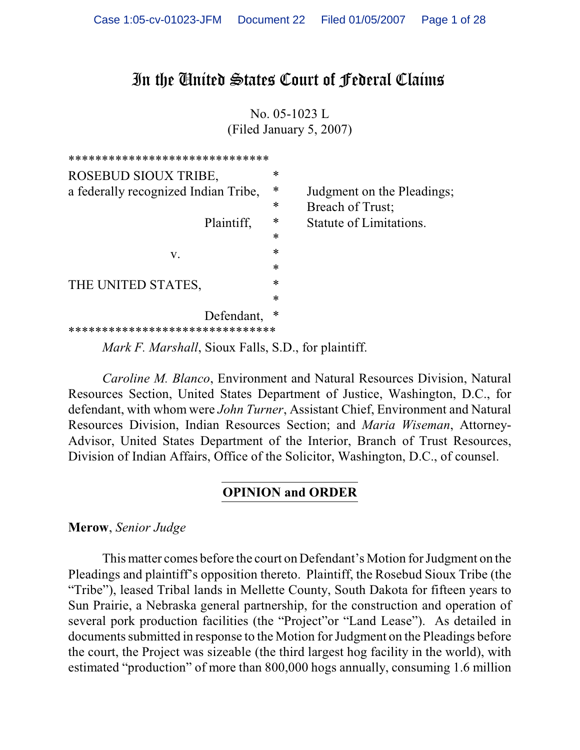# In the United States Court of Federal Claims

No. 05-1023 L (Filed January 5, 2007)



*Mark F. Marshall*, Sioux Falls, S.D., for plaintiff.

*Caroline M. Blanco*, Environment and Natural Resources Division, Natural Resources Section, United States Department of Justice, Washington, D.C., for defendant, with whom were *John Turner*, Assistant Chief, Environment and Natural Resources Division, Indian Resources Section; and *Maria Wiseman*, Attorney-Advisor, United States Department of the Interior, Branch of Trust Resources, Division of Indian Affairs, Office of the Solicitor, Washington, D.C., of counsel.

#### **OPINION and ORDER**

**Merow**, *Senior Judge*

This matter comes before the court on Defendant's Motion for Judgment on the Pleadings and plaintiff's opposition thereto. Plaintiff, the Rosebud Sioux Tribe (the "Tribe"), leased Tribal lands in Mellette County, South Dakota for fifteen years to Sun Prairie, a Nebraska general partnership, for the construction and operation of several pork production facilities (the "Project"or "Land Lease"). As detailed in documents submitted in response to the Motion for Judgment on the Pleadings before the court, the Project was sizeable (the third largest hog facility in the world), with estimated "production" of more than 800,000 hogs annually, consuming 1.6 million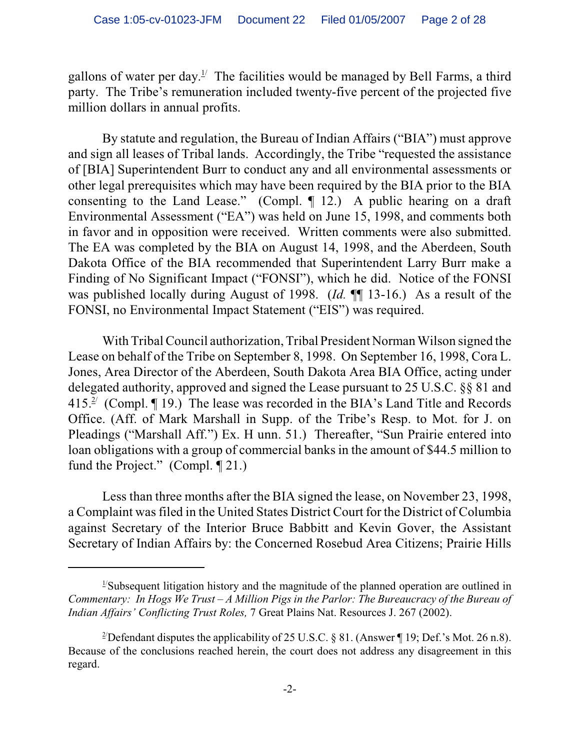gallons of water per day.<sup> $\frac{1}{2}$ </sup> The facilities would be managed by Bell Farms, a third party. The Tribe's remuneration included twenty-five percent of the projected five million dollars in annual profits.

By statute and regulation, the Bureau of Indian Affairs ("BIA") must approve and sign all leases of Tribal lands. Accordingly, the Tribe "requested the assistance of [BIA] Superintendent Burr to conduct any and all environmental assessments or other legal prerequisites which may have been required by the BIA prior to the BIA consenting to the Land Lease." (Compl. ¶ 12.) A public hearing on a draft Environmental Assessment ("EA") was held on June 15, 1998, and comments both in favor and in opposition were received. Written comments were also submitted. The EA was completed by the BIA on August 14, 1998, and the Aberdeen, South Dakota Office of the BIA recommended that Superintendent Larry Burr make a Finding of No Significant Impact ("FONSI"), which he did. Notice of the FONSI was published locally during August of 1998. (*Id.* ¶¶ 13-16.) As a result of the FONSI, no Environmental Impact Statement ("EIS") was required.

With Tribal Council authorization, Tribal President Norman Wilson signed the Lease on behalf of the Tribe on September 8, 1998. On September 16, 1998, Cora L. Jones, Area Director of the Aberdeen, South Dakota Area BIA Office, acting under delegated authority, approved and signed the Lease pursuant to 25 U.S.C. §§ 81 and 415. $\frac{2}{3}$  (Compl. ¶ 19.) The lease was recorded in the BIA's Land Title and Records Office. (Aff. of Mark Marshall in Supp. of the Tribe's Resp. to Mot. for J. on Pleadings ("Marshall Aff.") Ex. H unn. 51.) Thereafter, "Sun Prairie entered into loan obligations with a group of commercial banks in the amount of \$44.5 million to fund the Project." (Compl. ¶ 21.)

Less than three months after the BIA signed the lease, on November 23, 1998, a Complaint was filed in the United States District Court for the District of Columbia against Secretary of the Interior Bruce Babbitt and Kevin Gover, the Assistant Secretary of Indian Affairs by: the Concerned Rosebud Area Citizens; Prairie Hills

 $\frac{1}{2}$ Subsequent litigation history and the magnitude of the planned operation are outlined in *Commentary: In Hogs We Trust – A Million Pigs in the Parlor: The Bureaucracy of the Bureau of Indian Affairs' Conflicting Trust Roles,* 7 Great Plains Nat. Resources J. 267 (2002).

<sup>&</sup>lt;sup>2</sup>Defendant disputes the applicability of 25 U.S.C. § 81. (Answer ¶ 19; Def.'s Mot. 26 n.8). Because of the conclusions reached herein, the court does not address any disagreement in this regard.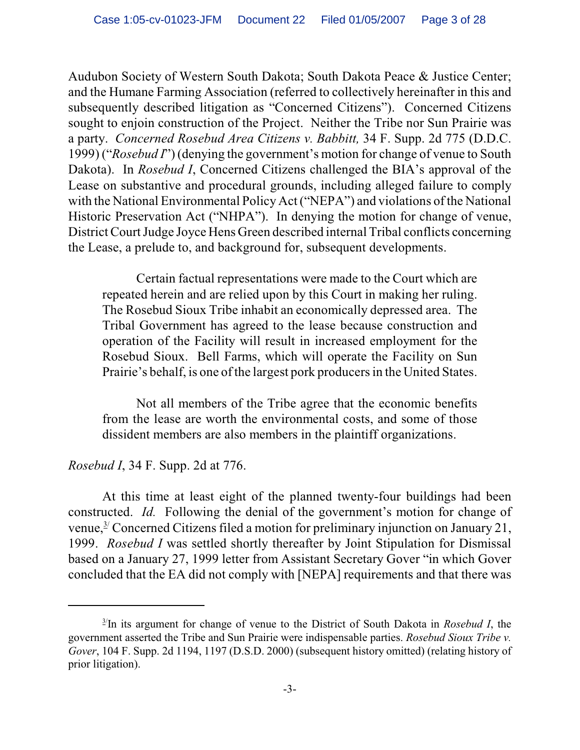Audubon Society of Western South Dakota; South Dakota Peace & Justice Center; and the Humane Farming Association (referred to collectively hereinafter in this and subsequently described litigation as "Concerned Citizens"). Concerned Citizens sought to enjoin construction of the Project. Neither the Tribe nor Sun Prairie was a party. *Concerned Rosebud Area Citizens v. Babbitt,* 34 F. Supp. 2d 775 (D.D.C. 1999) ("*Rosebud I*") (denying the government's motion for change of venue to South Dakota). In *Rosebud I*, Concerned Citizens challenged the BIA's approval of the Lease on substantive and procedural grounds, including alleged failure to comply with the National Environmental Policy Act ("NEPA") and violations of the National Historic Preservation Act ("NHPA"). In denying the motion for change of venue, District Court Judge Joyce Hens Green described internal Tribal conflicts concerning the Lease, a prelude to, and background for, subsequent developments.

Certain factual representations were made to the Court which are repeated herein and are relied upon by this Court in making her ruling. The Rosebud Sioux Tribe inhabit an economically depressed area. The Tribal Government has agreed to the lease because construction and operation of the Facility will result in increased employment for the Rosebud Sioux. Bell Farms, which will operate the Facility on Sun Prairie's behalf, is one ofthe largest pork producers in the United States.

Not all members of the Tribe agree that the economic benefits from the lease are worth the environmental costs, and some of those dissident members are also members in the plaintiff organizations.

# *Rosebud I*, 34 F. Supp. 2d at 776.

At this time at least eight of the planned twenty-four buildings had been constructed. *Id.* Following the denial of the government's motion for change of venue,  $\frac{3}{2}$  Concerned Citizens filed a motion for preliminary injunction on January 21, 1999. *Rosebud I* was settled shortly thereafter by Joint Stipulation for Dismissal based on a January 27, 1999 letter from Assistant Secretary Gover "in which Gover concluded that the EA did not comply with [NEPA] requirements and that there was

 $\frac{3}{1}$ In its argument for change of venue to the District of South Dakota in *Rosebud I*, the government asserted the Tribe and Sun Prairie were indispensable parties. *Rosebud Sioux Tribe v. Gover*, 104 F. Supp. 2d 1194, 1197 (D.S.D. 2000) (subsequent history omitted) (relating history of prior litigation).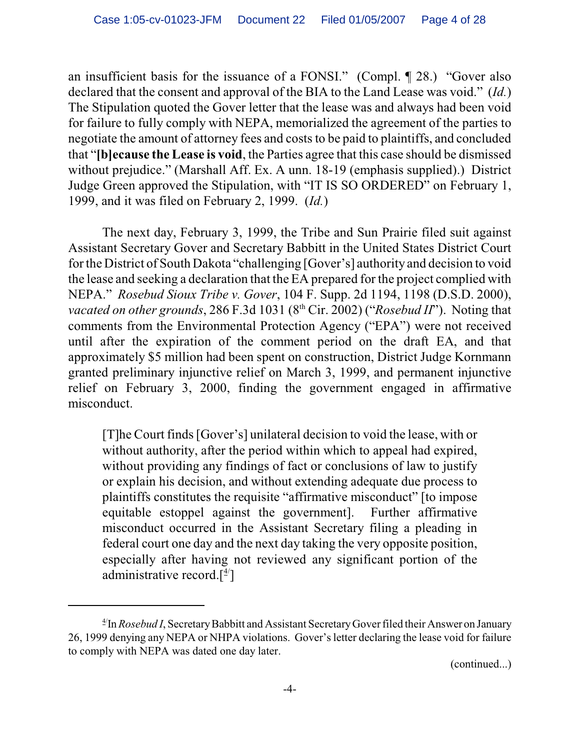an insufficient basis for the issuance of a FONSI." (Compl. ¶ 28.) "Gover also declared that the consent and approval of the BIA to the Land Lease was void." (*Id.*) The Stipulation quoted the Gover letter that the lease was and always had been void for failure to fully comply with NEPA, memorialized the agreement of the parties to negotiate the amount of attorney fees and costs to be paid to plaintiffs, and concluded that "**[b]ecause the Lease is void**, the Parties agree that this case should be dismissed without prejudice." (Marshall Aff. Ex. A unn. 18-19 (emphasis supplied).) District Judge Green approved the Stipulation, with "IT IS SO ORDERED" on February 1, 1999, and it was filed on February 2, 1999. (*Id.*)

The next day, February 3, 1999, the Tribe and Sun Prairie filed suit against Assistant Secretary Gover and Secretary Babbitt in the United States District Court for the District of South Dakota "challenging [Gover's] authority and decision to void the lease and seeking a declaration that the EA prepared for the project complied with NEPA." *Rosebud Sioux Tribe v. Gover*, 104 F. Supp. 2d 1194, 1198 (D.S.D. 2000), *vacated on other grounds*, 286 F.3d 1031 (8<sup>th</sup> Cir. 2002) ("*Rosebud II*"). Noting that comments from the Environmental Protection Agency ("EPA") were not received until after the expiration of the comment period on the draft EA, and that approximately \$5 million had been spent on construction, District Judge Kornmann granted preliminary injunctive relief on March 3, 1999, and permanent injunctive relief on February 3, 2000, finding the government engaged in affirmative misconduct.

[T]he Court finds [Gover's] unilateral decision to void the lease, with or without authority, after the period within which to appeal had expired, without providing any findings of fact or conclusions of law to justify or explain his decision, and without extending adequate due process to plaintiffs constitutes the requisite "affirmative misconduct" [to impose equitable estoppel against the government]. Further affirmative misconduct occurred in the Assistant Secretary filing a pleading in federal court one day and the next day taking the very opposite position, especially after having not reviewed any significant portion of the administrative record. $[$ <sup>4 $/$ </sup>]

<sup>&</sup>lt;sup>4/</sup>In *Rosebud I*, Secretary Babbitt and Assistant Secretary Gover filed their Answer on January 26, 1999 denying any NEPA or NHPA violations. Gover's letter declaring the lease void for failure to comply with NEPA was dated one day later.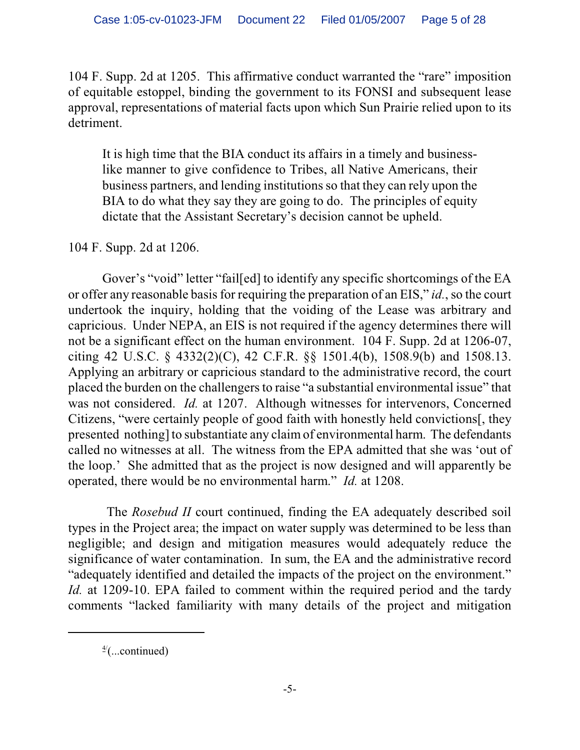104 F. Supp. 2d at 1205. This affirmative conduct warranted the "rare" imposition of equitable estoppel, binding the government to its FONSI and subsequent lease approval, representations of material facts upon which Sun Prairie relied upon to its detriment.

It is high time that the BIA conduct its affairs in a timely and businesslike manner to give confidence to Tribes, all Native Americans, their business partners, and lending institutions so that they can rely upon the BIA to do what they say they are going to do. The principles of equity dictate that the Assistant Secretary's decision cannot be upheld.

# 104 F. Supp. 2d at 1206.

Gover's "void" letter "fail[ed] to identify any specific shortcomings of the EA or offer any reasonable basis for requiring the preparation of an EIS," *id.*, so the court undertook the inquiry, holding that the voiding of the Lease was arbitrary and capricious. Under NEPA, an EIS is not required if the agency determines there will not be a significant effect on the human environment. 104 F. Supp. 2d at 1206-07, citing 42 U.S.C. § 4332(2)(C), 42 C.F.R. §§ 1501.4(b), 1508.9(b) and 1508.13. Applying an arbitrary or capricious standard to the administrative record, the court placed the burden on the challengers to raise "a substantial environmental issue" that was not considered. *Id.* at 1207. Although witnesses for intervenors, Concerned Citizens, "were certainly people of good faith with honestly held convictions[, they presented nothing] to substantiate any claim of environmental harm. The defendants called no witnesses at all. The witness from the EPA admitted that she was 'out of the loop.' She admitted that as the project is now designed and will apparently be operated, there would be no environmental harm." *Id.* at 1208.

 The *Rosebud II* court continued, finding the EA adequately described soil types in the Project area; the impact on water supply was determined to be less than negligible; and design and mitigation measures would adequately reduce the significance of water contamination. In sum, the EA and the administrative record "adequately identified and detailed the impacts of the project on the environment." *Id.* at 1209-10. EPA failed to comment within the required period and the tardy comments "lacked familiarity with many details of the project and mitigation

 $\frac{4}{2}$ (...continued)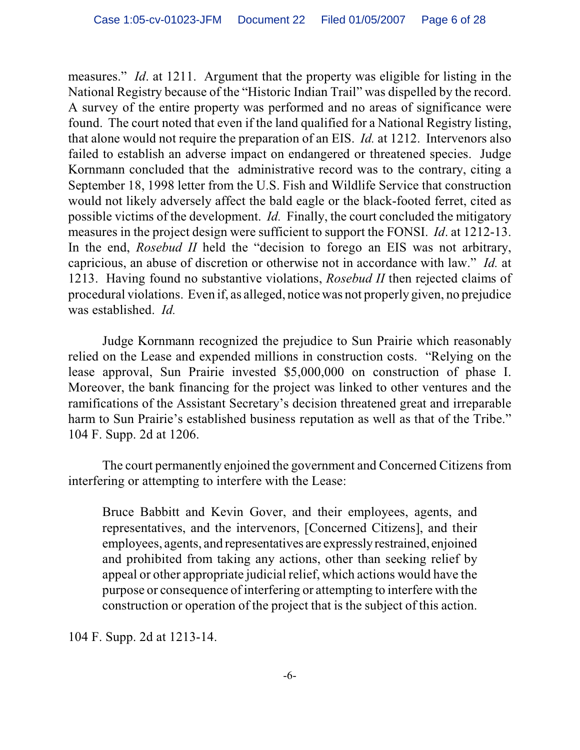measures." *Id*. at 1211. Argument that the property was eligible for listing in the National Registry because of the "Historic Indian Trail" was dispelled by the record. A survey of the entire property was performed and no areas of significance were found. The court noted that even if the land qualified for a National Registry listing, that alone would not require the preparation of an EIS. *Id.* at 1212. Intervenors also failed to establish an adverse impact on endangered or threatened species. Judge Kornmann concluded that the administrative record was to the contrary, citing a September 18, 1998 letter from the U.S. Fish and Wildlife Service that construction would not likely adversely affect the bald eagle or the black-footed ferret, cited as possible victims of the development. *Id.* Finally, the court concluded the mitigatory measures in the project design were sufficient to support the FONSI. *Id*. at 1212-13. In the end, *Rosebud II* held the "decision to forego an EIS was not arbitrary, capricious, an abuse of discretion or otherwise not in accordance with law." *Id.* at 1213. Having found no substantive violations, *Rosebud II* then rejected claims of procedural violations. Even if, as alleged, notice was not properly given, no prejudice was established. *Id.*

Judge Kornmann recognized the prejudice to Sun Prairie which reasonably relied on the Lease and expended millions in construction costs. "Relying on the lease approval, Sun Prairie invested \$5,000,000 on construction of phase I. Moreover, the bank financing for the project was linked to other ventures and the ramifications of the Assistant Secretary's decision threatened great and irreparable harm to Sun Prairie's established business reputation as well as that of the Tribe." 104 F. Supp. 2d at 1206.

The court permanently enjoined the government and Concerned Citizens from interfering or attempting to interfere with the Lease:

Bruce Babbitt and Kevin Gover, and their employees, agents, and representatives, and the intervenors, [Concerned Citizens], and their employees, agents, and representatives are expressly restrained, enjoined and prohibited from taking any actions, other than seeking relief by appeal or other appropriate judicial relief, which actions would have the purpose or consequence of interfering or attempting to interfere with the construction or operation of the project that is the subject of this action.

104 F. Supp. 2d at 1213-14.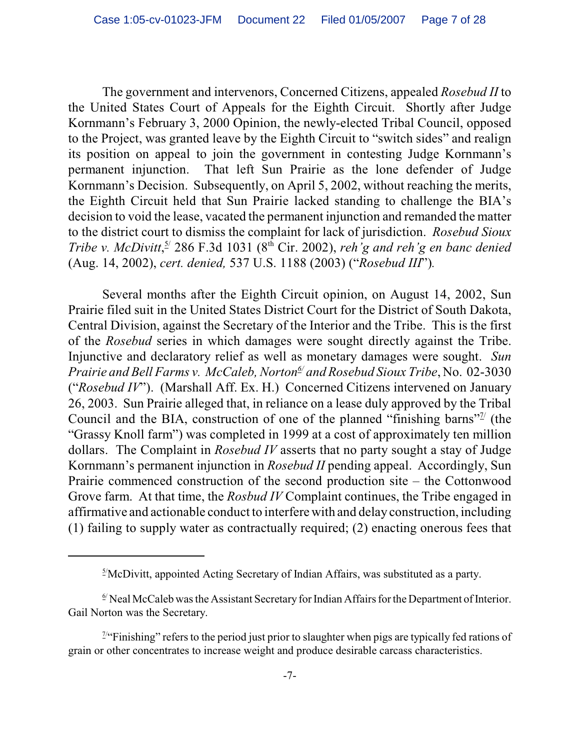The government and intervenors, Concerned Citizens, appealed *Rosebud II* to the United States Court of Appeals for the Eighth Circuit. Shortly after Judge Kornmann's February 3, 2000 Opinion, the newly-elected Tribal Council, opposed to the Project, was granted leave by the Eighth Circuit to "switch sides" and realign its position on appeal to join the government in contesting Judge Kornmann's permanent injunction. That left Sun Prairie as the lone defender of Judge Kornmann's Decision. Subsequently, on April 5, 2002, without reaching the merits, the Eighth Circuit held that Sun Prairie lacked standing to challenge the BIA's decision to void the lease, vacated the permanent injunction and remanded the matter to the district court to dismiss the complaint for lack of jurisdiction. *Rosebud Sioux Tribe v. McDivitt*,  $\frac{5}{2}$  286 F.3d 1031 ( $8^{th}$  Cir. 2002), *reh g* and *reh g en banc denied* (Aug. 14, 2002), *cert. denied,* 537 U.S. 1188 (2003) ("*Rosebud III*")*.* 

Several months after the Eighth Circuit opinion, on August 14, 2002, Sun Prairie filed suit in the United States District Court for the District of South Dakota, Central Division, against the Secretary of the Interior and the Tribe. This is the first of the *Rosebud* series in which damages were sought directly against the Tribe. Injunctive and declaratory relief as well as monetary damages were sought. *Sun Prairie and Bell Farms v. McCaleb, Norton* and Rosebud Sioux Tribe, No. 02-3030 ("*Rosebud IV*"). (Marshall Aff. Ex. H.) Concerned Citizens intervened on January 26, 2003. Sun Prairie alleged that, in reliance on a lease duly approved by the Tribal Council and the BIA, construction of one of the planned "finishing barns"<sup> $\frac{7}{2}$ </sup> (the "Grassy Knoll farm") was completed in 1999 at a cost of approximately ten million dollars. The Complaint in *Rosebud IV* asserts that no party sought a stay of Judge Kornmann's permanent injunction in *Rosebud II* pending appeal. Accordingly, Sun Prairie commenced construction of the second production site – the Cottonwood Grove farm. At that time, the *Rosbud IV* Complaint continues, the Tribe engaged in affirmative and actionable conduct to interfere with and delay construction, including (1) failing to supply water as contractually required; (2) enacting onerous fees that

 $\frac{5}{1}$ McDivitt, appointed Acting Secretary of Indian Affairs, was substituted as a party.

 $\frac{6}{1}$  Neal McCaleb was the Assistant Secretary for Indian Affairs for the Department of Interior. Gail Norton was the Secretary.

 $\frac{7}{4}$ "Finishing" refers to the period just prior to slaughter when pigs are typically fed rations of grain or other concentrates to increase weight and produce desirable carcass characteristics.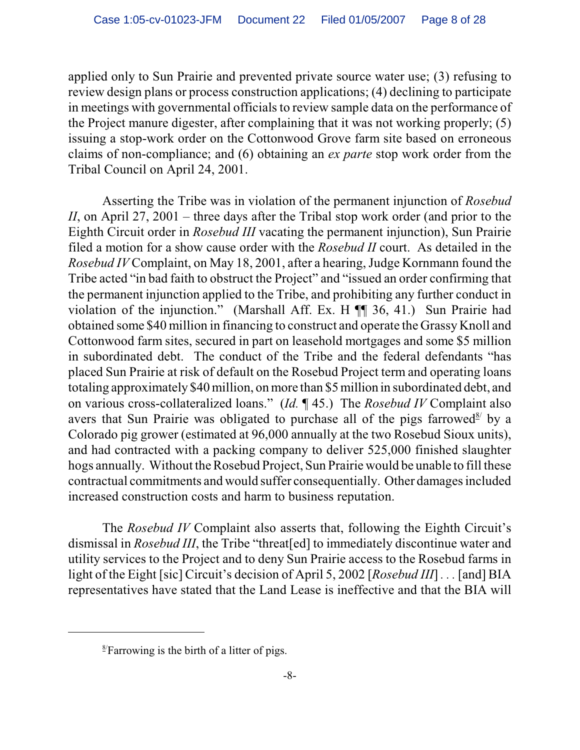applied only to Sun Prairie and prevented private source water use; (3) refusing to review design plans or process construction applications; (4) declining to participate in meetings with governmental officials to review sample data on the performance of the Project manure digester, after complaining that it was not working properly; (5) issuing a stop-work order on the Cottonwood Grove farm site based on erroneous claims of non-compliance; and (6) obtaining an *ex parte* stop work order from the Tribal Council on April 24, 2001.

Asserting the Tribe was in violation of the permanent injunction of *Rosebud II*, on April 27, 2001 – three days after the Tribal stop work order (and prior to the Eighth Circuit order in *Rosebud III* vacating the permanent injunction), Sun Prairie filed a motion for a show cause order with the *Rosebud II* court. As detailed in the *Rosebud IV* Complaint, on May 18, 2001, after a hearing, Judge Kornmann found the Tribe acted "in bad faith to obstruct the Project" and "issued an order confirming that the permanent injunction applied to the Tribe, and prohibiting any further conduct in violation of the injunction." (Marshall Aff. Ex. H ¶¶ 36, 41.) Sun Prairie had obtained some \$40 million in financing to construct and operate the Grassy Knoll and Cottonwood farm sites, secured in part on leasehold mortgages and some \$5 million in subordinated debt. The conduct of the Tribe and the federal defendants "has placed Sun Prairie at risk of default on the Rosebud Project term and operating loans totaling approximately \$40 million, on more than \$5 million in subordinated debt, and on various cross-collateralized loans." (*Id.* ¶ 45.) The *Rosebud IV* Complaint also avers that Sun Prairie was obligated to purchase all of the pigs farrowed by a Colorado pig grower (estimated at 96,000 annually at the two Rosebud Sioux units), and had contracted with a packing company to deliver 525,000 finished slaughter hogs annually. Without the Rosebud Project, Sun Prairie would be unable to fill these contractual commitments and would suffer consequentially. Other damages included increased construction costs and harm to business reputation.

The *Rosebud IV* Complaint also asserts that, following the Eighth Circuit's dismissal in *Rosebud III*, the Tribe "threat[ed] to immediately discontinue water and utility services to the Project and to deny Sun Prairie access to the Rosebud farms in light of the Eight [sic] Circuit's decision of April 5, 2002 [*Rosebud III*] *. . .* [and] BIA representatives have stated that the Land Lease is ineffective and that the BIA will

 $\frac{8}{2}$ Farrowing is the birth of a litter of pigs.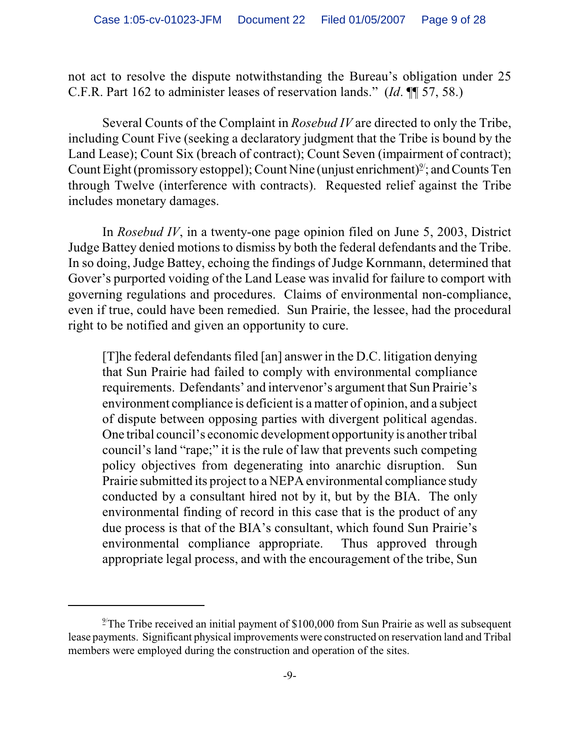not act to resolve the dispute notwithstanding the Bureau's obligation under 25 C.F.R. Part 162 to administer leases of reservation lands." (*Id*. ¶¶ 57, 58.)

Several Counts of the Complaint in *Rosebud IV* are directed to only the Tribe, including Count Five (seeking a declaratory judgment that the Tribe is bound by the Land Lease); Count Six (breach of contract); Count Seven (impairment of contract); Count Eight (promissory estoppel); Count Nine (unjust enrichment) $\mathcal{Y}'$ ; and Counts Ten through Twelve (interference with contracts). Requested relief against the Tribe includes monetary damages.

In *Rosebud IV*, in a twenty-one page opinion filed on June 5, 2003, District Judge Battey denied motions to dismiss by both the federal defendants and the Tribe. In so doing, Judge Battey, echoing the findings of Judge Kornmann, determined that Gover's purported voiding of the Land Lease was invalid for failure to comport with governing regulations and procedures. Claims of environmental non-compliance, even if true, could have been remedied. Sun Prairie, the lessee, had the procedural right to be notified and given an opportunity to cure.

[T]he federal defendants filed [an] answer in the D.C. litigation denying that Sun Prairie had failed to comply with environmental compliance requirements. Defendants' and intervenor's argument that Sun Prairie's environment compliance is deficient is a matter of opinion, and a subject of dispute between opposing parties with divergent political agendas. One tribal council's economic development opportunity is another tribal council's land "rape;" it is the rule of law that prevents such competing policy objectives from degenerating into anarchic disruption. Sun Prairie submitted its project to a NEPA environmental compliance study conducted by a consultant hired not by it, but by the BIA. The only environmental finding of record in this case that is the product of any due process is that of the BIA's consultant, which found Sun Prairie's environmental compliance appropriate. Thus approved through appropriate legal process, and with the encouragement of the tribe, Sun

<sup>&</sup>lt;sup>2/</sup>The Tribe received an initial payment of \$100,000 from Sun Prairie as well as subsequent lease payments. Significant physical improvements were constructed on reservation land and Tribal members were employed during the construction and operation of the sites.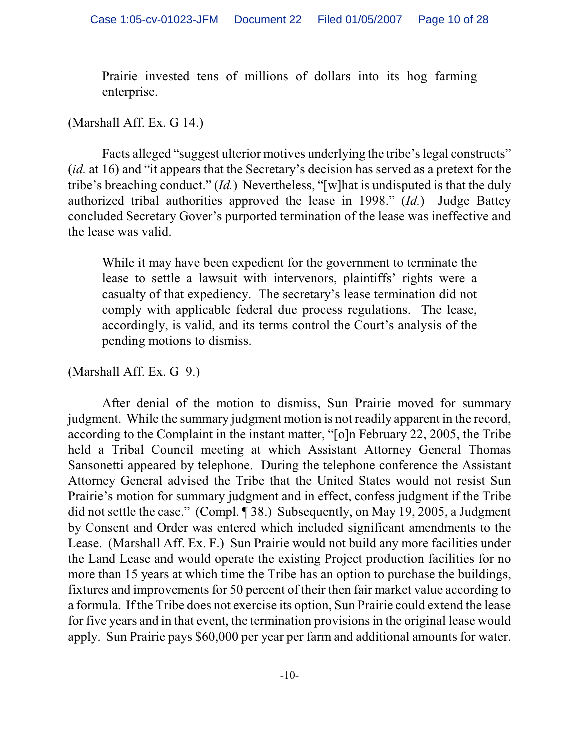Prairie invested tens of millions of dollars into its hog farming enterprise.

#### (Marshall Aff. Ex. G 14.)

Facts alleged "suggest ulterior motives underlying the tribe's legal constructs" (*id.* at 16) and "it appears that the Secretary's decision has served as a pretext for the tribe's breaching conduct." (*Id.*) Nevertheless, "[w]hat is undisputed is that the duly authorized tribal authorities approved the lease in 1998." (*Id.*) Judge Battey concluded Secretary Gover's purported termination of the lease was ineffective and the lease was valid.

While it may have been expedient for the government to terminate the lease to settle a lawsuit with intervenors, plaintiffs' rights were a casualty of that expediency. The secretary's lease termination did not comply with applicable federal due process regulations. The lease, accordingly, is valid, and its terms control the Court's analysis of the pending motions to dismiss.

### (Marshall Aff. Ex. G 9.)

After denial of the motion to dismiss, Sun Prairie moved for summary judgment. While the summary judgment motion is not readily apparent in the record, according to the Complaint in the instant matter, "[o]n February 22, 2005, the Tribe held a Tribal Council meeting at which Assistant Attorney General Thomas Sansonetti appeared by telephone. During the telephone conference the Assistant Attorney General advised the Tribe that the United States would not resist Sun Prairie's motion for summary judgment and in effect, confess judgment if the Tribe did not settle the case." (Compl. ¶ 38.) Subsequently, on May 19, 2005, a Judgment by Consent and Order was entered which included significant amendments to the Lease. (Marshall Aff. Ex. F.) Sun Prairie would not build any more facilities under the Land Lease and would operate the existing Project production facilities for no more than 15 years at which time the Tribe has an option to purchase the buildings, fixtures and improvements for 50 percent of their then fair market value according to a formula. If the Tribe does not exercise its option, Sun Prairie could extend the lease for five years and in that event, the termination provisions in the original lease would apply. Sun Prairie pays \$60,000 per year per farm and additional amounts for water.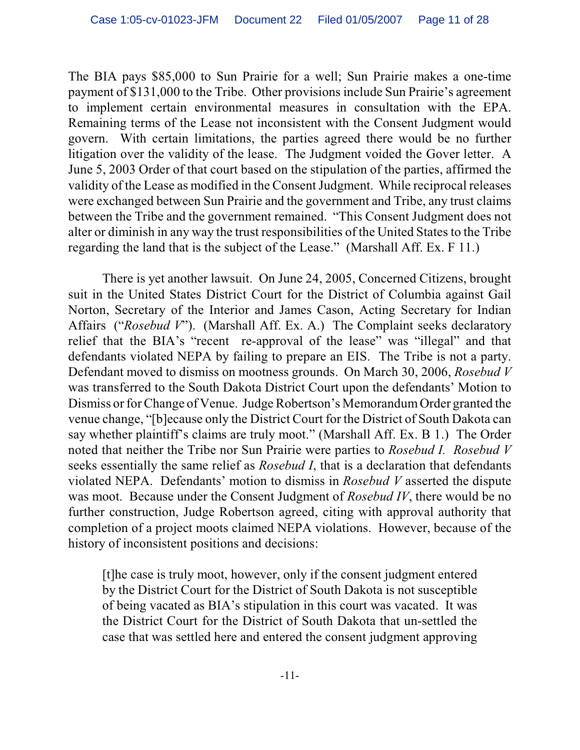The BIA pays \$85,000 to Sun Prairie for a well; Sun Prairie makes a one-time payment of \$131,000 to the Tribe. Other provisions include Sun Prairie's agreement to implement certain environmental measures in consultation with the EPA. Remaining terms of the Lease not inconsistent with the Consent Judgment would govern. With certain limitations, the parties agreed there would be no further litigation over the validity of the lease. The Judgment voided the Gover letter. A June 5, 2003 Order of that court based on the stipulation of the parties, affirmed the validity of the Lease as modified in the Consent Judgment. While reciprocal releases were exchanged between Sun Prairie and the government and Tribe, any trust claims between the Tribe and the government remained. "This Consent Judgment does not alter or diminish in any way the trust responsibilities of the United States to the Tribe regarding the land that is the subject of the Lease." (Marshall Aff. Ex. F 11.)

There is yet another lawsuit. On June 24, 2005, Concerned Citizens, brought suit in the United States District Court for the District of Columbia against Gail Norton, Secretary of the Interior and James Cason, Acting Secretary for Indian Affairs ("*Rosebud V*"). (Marshall Aff. Ex. A.) The Complaint seeks declaratory relief that the BIA's "recent re-approval of the lease" was "illegal" and that defendants violated NEPA by failing to prepare an EIS. The Tribe is not a party. Defendant moved to dismiss on mootness grounds. On March 30, 2006, *Rosebud V* was transferred to the South Dakota District Court upon the defendants' Motion to Dismiss or for Change of Venue. Judge Robertson's MemorandumOrder granted the venue change, "[b]ecause only the District Court for the District of South Dakota can say whether plaintiff's claims are truly moot." (Marshall Aff. Ex. B 1.) The Order noted that neither the Tribe nor Sun Prairie were parties to *Rosebud I. Rosebud V* seeks essentially the same relief as *Rosebud I*, that is a declaration that defendants violated NEPA. Defendants' motion to dismiss in *Rosebud V* asserted the dispute was moot. Because under the Consent Judgment of *Rosebud IV*, there would be no further construction, Judge Robertson agreed, citing with approval authority that completion of a project moots claimed NEPA violations. However, because of the history of inconsistent positions and decisions:

[t]he case is truly moot, however, only if the consent judgment entered by the District Court for the District of South Dakota is not susceptible of being vacated as BIA's stipulation in this court was vacated. It was the District Court for the District of South Dakota that un-settled the case that was settled here and entered the consent judgment approving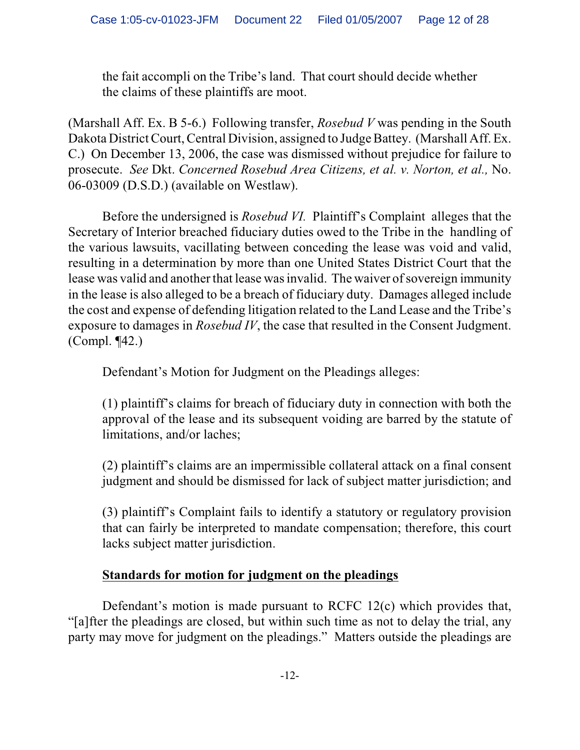the fait accompli on the Tribe's land. That court should decide whether the claims of these plaintiffs are moot.

(Marshall Aff. Ex. B 5-6.) Following transfer, *Rosebud V* was pending in the South Dakota District Court, Central Division, assigned to Judge Battey. (Marshall Aff. Ex. C.) On December 13, 2006, the case was dismissed without prejudice for failure to prosecute. *See* Dkt. *Concerned Rosebud Area Citizens, et al. v. Norton, et al.,* No. 06-03009 (D.S.D.) (available on Westlaw).

Before the undersigned is *Rosebud VI.* Plaintiff's Complaint alleges that the Secretary of Interior breached fiduciary duties owed to the Tribe in the handling of the various lawsuits, vacillating between conceding the lease was void and valid, resulting in a determination by more than one United States District Court that the lease was valid and another that lease was invalid. The waiver of sovereign immunity in the lease is also alleged to be a breach of fiduciary duty. Damages alleged include the cost and expense of defending litigation related to the Land Lease and the Tribe's exposure to damages in *Rosebud IV*, the case that resulted in the Consent Judgment. (Compl. ¶42.)

Defendant's Motion for Judgment on the Pleadings alleges:

(1) plaintiff's claims for breach of fiduciary duty in connection with both the approval of the lease and its subsequent voiding are barred by the statute of limitations, and/or laches;

(2) plaintiff's claims are an impermissible collateral attack on a final consent judgment and should be dismissed for lack of subject matter jurisdiction; and

(3) plaintiff's Complaint fails to identify a statutory or regulatory provision that can fairly be interpreted to mandate compensation; therefore, this court lacks subject matter jurisdiction.

# **Standards for motion for judgment on the pleadings**

Defendant's motion is made pursuant to RCFC 12(c) which provides that, "[a]fter the pleadings are closed, but within such time as not to delay the trial, any party may move for judgment on the pleadings." Matters outside the pleadings are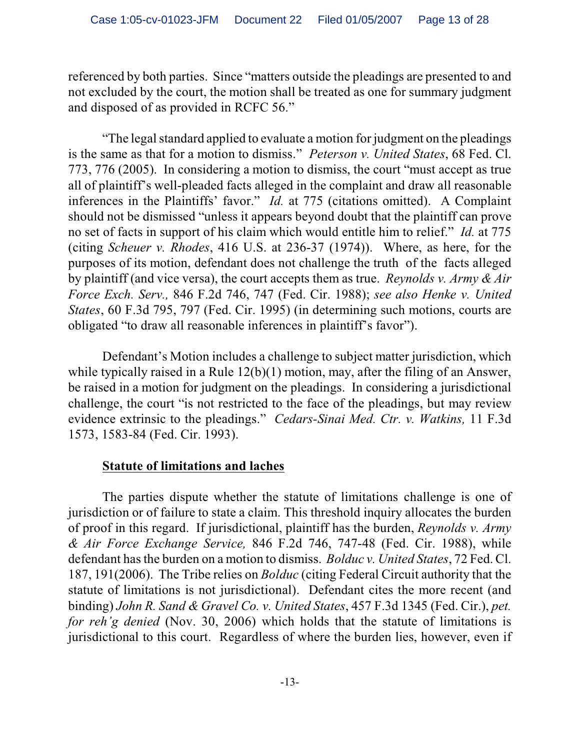referenced by both parties. Since "matters outside the pleadings are presented to and not excluded by the court, the motion shall be treated as one for summary judgment and disposed of as provided in RCFC 56."

"The legal standard applied to evaluate a motion for judgment on the pleadings is the same as that for a motion to dismiss." *Peterson v. United States*, 68 Fed. Cl. 773, 776 (2005). In considering a motion to dismiss, the court "must accept as true all of plaintiff's well-pleaded facts alleged in the complaint and draw all reasonable inferences in the Plaintiffs' favor." *Id.* at 775 (citations omitted). A Complaint should not be dismissed "unless it appears beyond doubt that the plaintiff can prove no set of facts in support of his claim which would entitle him to relief." *Id.* at 775 (citing *Scheuer v. Rhodes*, 416 U.S. at 236-37 (1974)). Where, as here, for the purposes of its motion, defendant does not challenge the truth of the facts alleged by plaintiff (and vice versa), the court accepts them as true. *Reynolds v. Army & Air Force Exch. Serv.,* 846 F.2d 746, 747 (Fed. Cir. 1988); *see also Henke v. United States*, 60 F.3d 795, 797 (Fed. Cir. 1995) (in determining such motions, courts are obligated "to draw all reasonable inferences in plaintiff's favor").

Defendant's Motion includes a challenge to subject matter jurisdiction, which while typically raised in a Rule 12(b)(1) motion, may, after the filing of an Answer, be raised in a motion for judgment on the pleadings. In considering a jurisdictional challenge, the court "is not restricted to the face of the pleadings, but may review evidence extrinsic to the pleadings." *Cedars-Sinai Med. Ctr. v. Watkins,* 11 F.3d 1573, 1583-84 (Fed. Cir. 1993).

# **Statute of limitations and laches**

The parties dispute whether the statute of limitations challenge is one of jurisdiction or of failure to state a claim. This threshold inquiry allocates the burden of proof in this regard. If jurisdictional, plaintiff has the burden, *Reynolds v. Army & Air Force Exchange Service,* 846 F.2d 746, 747-48 (Fed. Cir. 1988), while defendant has the burden on a motion to dismiss. *Bolduc v. United States*, 72 Fed. Cl. 187, 191(2006). The Tribe relies on *Bolduc* (citing Federal Circuit authority that the statute of limitations is not jurisdictional). Defendant cites the more recent (and binding) *John R. Sand & Gravel Co. v. United States*, 457 F.3d 1345 (Fed. Cir.), *pet. for reh'g denied* (Nov. 30, 2006) which holds that the statute of limitations is jurisdictional to this court. Regardless of where the burden lies, however, even if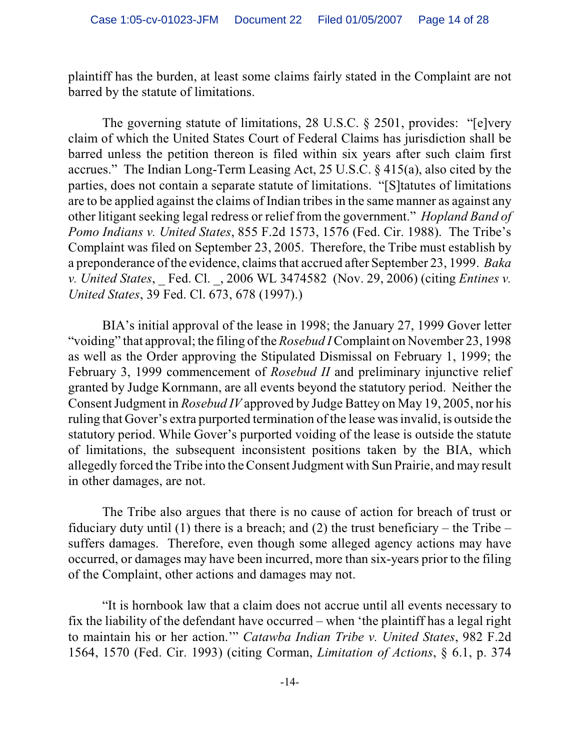plaintiff has the burden, at least some claims fairly stated in the Complaint are not barred by the statute of limitations.

The governing statute of limitations, 28 U.S.C. § 2501, provides: "[e]very claim of which the United States Court of Federal Claims has jurisdiction shall be barred unless the petition thereon is filed within six years after such claim first accrues." The Indian Long-Term Leasing Act, 25 U.S.C. § 415(a), also cited by the parties, does not contain a separate statute of limitations. "[S]tatutes of limitations are to be applied against the claims of Indian tribes in the same manner as against any other litigant seeking legal redress or relief from the government." *Hopland Band of Pomo Indians v. United States*, 855 F.2d 1573, 1576 (Fed. Cir. 1988). The Tribe's Complaint was filed on September 23, 2005. Therefore, the Tribe must establish by a preponderance of the evidence, claims that accrued after September 23, 1999. *Baka v. United States*, \_ Fed. Cl. \_, 2006 WL 3474582 (Nov. 29, 2006) (citing *Entines v. United States*, 39 Fed. Cl. 673, 678 (1997).)

BIA's initial approval of the lease in 1998; the January 27, 1999 Gover letter "voiding" that approval; the filing of the *Rosebud I* Complaint on November 23, 1998 as well as the Order approving the Stipulated Dismissal on February 1, 1999; the February 3, 1999 commencement of *Rosebud II* and preliminary injunctive relief granted by Judge Kornmann, are all events beyond the statutory period. Neither the Consent Judgment in *Rosebud IV* approved by Judge Battey on May 19, 2005, nor his ruling that Gover's extra purported termination of the lease was invalid, is outside the statutory period. While Gover's purported voiding of the lease is outside the statute of limitations, the subsequent inconsistent positions taken by the BIA, which allegedly forced the Tribe into theConsent Judgment with Sun Prairie, and may result in other damages, are not.

The Tribe also argues that there is no cause of action for breach of trust or fiduciary duty until (1) there is a breach; and (2) the trust beneficiary – the Tribe – suffers damages. Therefore, even though some alleged agency actions may have occurred, or damages may have been incurred, more than six-years prior to the filing of the Complaint, other actions and damages may not.

"It is hornbook law that a claim does not accrue until all events necessary to fix the liability of the defendant have occurred – when 'the plaintiff has a legal right to maintain his or her action.'" *Catawba Indian Tribe v. United States*, 982 F.2d 1564, 1570 (Fed. Cir. 1993) (citing Corman, *Limitation of Actions*, § 6.1, p. 374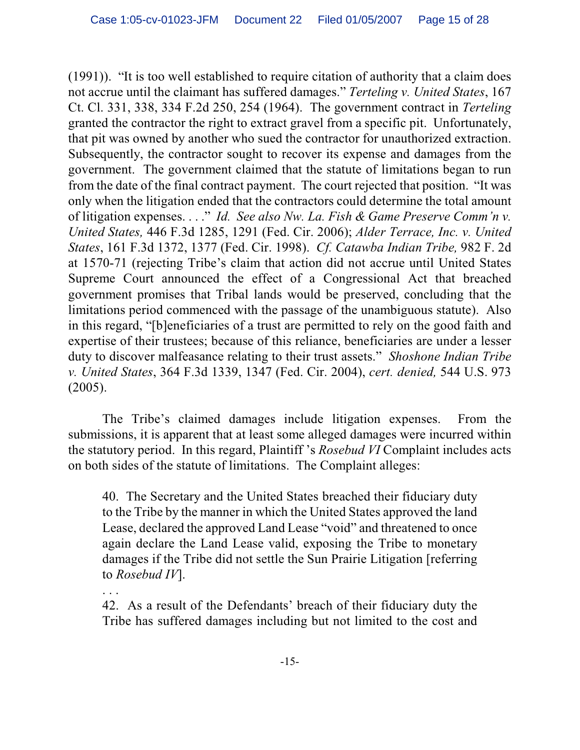(1991)). "It is too well established to require citation of authority that a claim does not accrue until the claimant has suffered damages." *Terteling v. United States*, 167 Ct. Cl. 331, 338, 334 F.2d 250, 254 (1964). The government contract in *Terteling* granted the contractor the right to extract gravel from a specific pit. Unfortunately, that pit was owned by another who sued the contractor for unauthorized extraction. Subsequently, the contractor sought to recover its expense and damages from the government. The government claimed that the statute of limitations began to run from the date of the final contract payment. The court rejected that position. "It was only when the litigation ended that the contractors could determine the total amount of litigation expenses. . . ." *Id. See also Nw. La. Fish & Game Preserve Comm'n v. United States,* 446 F.3d 1285, 1291 (Fed. Cir. 2006); *Alder Terrace, Inc. v. United States*, 161 F.3d 1372, 1377 (Fed. Cir. 1998). *Cf. Catawba Indian Tribe,* 982 F. 2d at 1570-71 (rejecting Tribe's claim that action did not accrue until United States Supreme Court announced the effect of a Congressional Act that breached government promises that Tribal lands would be preserved, concluding that the limitations period commenced with the passage of the unambiguous statute). Also in this regard, "[b]eneficiaries of a trust are permitted to rely on the good faith and expertise of their trustees; because of this reliance, beneficiaries are under a lesser duty to discover malfeasance relating to their trust assets." *Shoshone Indian Tribe v. United States*, 364 F.3d 1339, 1347 (Fed. Cir. 2004), *cert. denied,* 544 U.S. 973 (2005).

The Tribe's claimed damages include litigation expenses. From the submissions, it is apparent that at least some alleged damages were incurred within the statutory period. In this regard, Plaintiff 's *Rosebud VI* Complaint includes acts on both sides of the statute of limitations. The Complaint alleges:

40. The Secretary and the United States breached their fiduciary duty to the Tribe by the manner in which the United States approved the land Lease, declared the approved Land Lease "void" and threatened to once again declare the Land Lease valid, exposing the Tribe to monetary damages if the Tribe did not settle the Sun Prairie Litigation [referring to *Rosebud IV*].

. . .

42. As a result of the Defendants' breach of their fiduciary duty the Tribe has suffered damages including but not limited to the cost and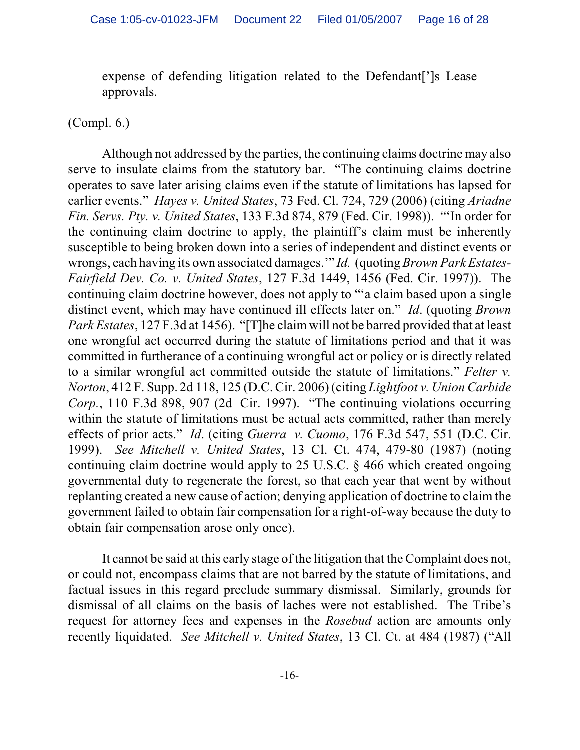expense of defending litigation related to the Defendant[']s Lease approvals.

#### (Compl. 6.)

Although not addressed by the parties, the continuing claims doctrine may also serve to insulate claims from the statutory bar. "The continuing claims doctrine operates to save later arising claims even if the statute of limitations has lapsed for earlier events." *Hayes v. United States*, 73 Fed. Cl. 724, 729 (2006) (citing *Ariadne Fin. Servs. Pty. v. United States*, 133 F.3d 874, 879 (Fed. Cir. 1998)). "'In order for the continuing claim doctrine to apply, the plaintiff's claim must be inherently susceptible to being broken down into a series of independent and distinct events or wrongs, each having its own associated damages.'" *Id.* (quoting *Brown Park Estates-Fairfield Dev. Co. v. United States*, 127 F.3d 1449, 1456 (Fed. Cir. 1997)). The continuing claim doctrine however, does not apply to "'a claim based upon a single distinct event, which may have continued ill effects later on." *Id*. (quoting *Brown Park Estates*, 127 F.3d at 1456). "[T]he claim will not be barred provided that at least one wrongful act occurred during the statute of limitations period and that it was committed in furtherance of a continuing wrongful act or policy or is directly related to a similar wrongful act committed outside the statute of limitations." *Felter v. Norton*, 412 F. Supp. 2d 118, 125 (D.C. Cir. 2006) (citing *Lightfoot v. Union Carbide Corp.*, 110 F.3d 898, 907 (2d Cir. 1997). "The continuing violations occurring within the statute of limitations must be actual acts committed, rather than merely effects of prior acts." *Id*. (citing *Guerra v. Cuomo*, 176 F.3d 547, 551 (D.C. Cir. 1999). *See Mitchell v. United States*, 13 Cl. Ct. 474, 479-80 (1987) (noting continuing claim doctrine would apply to 25 U.S.C. § 466 which created ongoing governmental duty to regenerate the forest, so that each year that went by without replanting created a new cause of action; denying application of doctrine to claim the government failed to obtain fair compensation for a right-of-way because the duty to obtain fair compensation arose only once).

It cannot be said at this early stage of the litigation that the Complaint does not, or could not, encompass claims that are not barred by the statute of limitations, and factual issues in this regard preclude summary dismissal. Similarly, grounds for dismissal of all claims on the basis of laches were not established. The Tribe's request for attorney fees and expenses in the *Rosebud* action are amounts only recently liquidated. *See Mitchell v. United States*, 13 Cl. Ct. at 484 (1987) ("All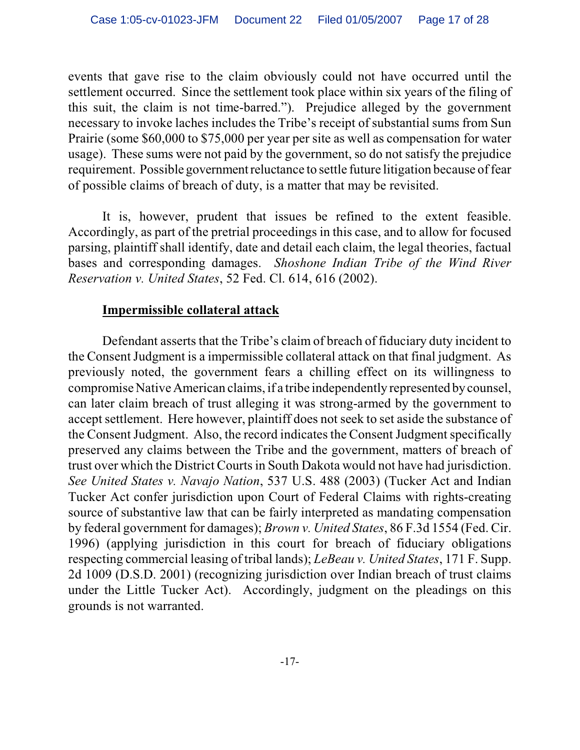events that gave rise to the claim obviously could not have occurred until the settlement occurred. Since the settlement took place within six years of the filing of this suit, the claim is not time-barred."). Prejudice alleged by the government necessary to invoke laches includes the Tribe's receipt of substantial sums from Sun Prairie (some \$60,000 to \$75,000 per year per site as well as compensation for water usage). These sums were not paid by the government, so do not satisfy the prejudice requirement. Possible government reluctance to settle future litigation because of fear of possible claims of breach of duty, is a matter that may be revisited.

It is, however, prudent that issues be refined to the extent feasible. Accordingly, as part of the pretrial proceedings in this case, and to allow for focused parsing, plaintiff shall identify, date and detail each claim, the legal theories, factual bases and corresponding damages. *Shoshone Indian Tribe of the Wind River Reservation v. United States*, 52 Fed. Cl. 614, 616 (2002).

#### **Impermissible collateral attack**

Defendant asserts that the Tribe's claim of breach of fiduciary duty incident to the Consent Judgment is a impermissible collateral attack on that final judgment. As previously noted, the government fears a chilling effect on its willingness to compromise Native American claims, if a tribe independently represented by counsel, can later claim breach of trust alleging it was strong-armed by the government to accept settlement. Here however, plaintiff does not seek to set aside the substance of the Consent Judgment. Also, the record indicates the Consent Judgment specifically preserved any claims between the Tribe and the government, matters of breach of trust over which the District Courts in South Dakota would not have had jurisdiction. *See United States v. Navajo Nation*, 537 U.S. 488 (2003) (Tucker Act and Indian Tucker Act confer jurisdiction upon Court of Federal Claims with rights-creating source of substantive law that can be fairly interpreted as mandating compensation by federal government for damages); *Brown v. United States*, 86 F.3d 1554 (Fed. Cir. 1996) (applying jurisdiction in this court for breach of fiduciary obligations respecting commercial leasing of tribal lands); *LeBeau v. United States*, 171 F. Supp. 2d 1009 (D.S.D. 2001) (recognizing jurisdiction over Indian breach of trust claims under the Little Tucker Act). Accordingly, judgment on the pleadings on this grounds is not warranted.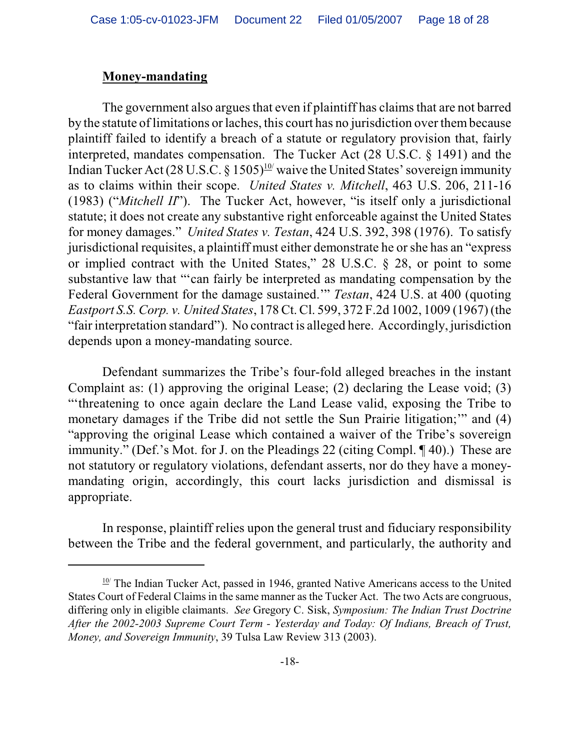#### **Money-mandating**

The government also argues that even if plaintiff has claims that are not barred by the statute of limitations or laches, this court has no jurisdiction over them because plaintiff failed to identify a breach of a statute or regulatory provision that, fairly interpreted, mandates compensation. The Tucker Act (28 U.S.C. § 1491) and the Indian Tucker Act (28 U.S.C. § 1505)<sup>10</sup> waive the United States' sovereign immunity as to claims within their scope. *United States v. Mitchell*, 463 U.S. 206, 211-16 (1983) ("*Mitchell II*"). The Tucker Act, however, "is itself only a jurisdictional statute; it does not create any substantive right enforceable against the United States for money damages." *United States v. Testan*, 424 U.S. 392, 398 (1976). To satisfy jurisdictional requisites, a plaintiff must either demonstrate he orshe has an "express or implied contract with the United States," 28 U.S.C. § 28, or point to some substantive law that "'can fairly be interpreted as mandating compensation by the Federal Government for the damage sustained.'" *Testan*, 424 U.S. at 400 (quoting *Eastport S.S. Corp. v. United States*, 178 Ct. Cl. 599, 372 F.2d 1002, 1009 (1967) (the "fair interpretation standard"). No contract is alleged here. Accordingly, jurisdiction depends upon a money-mandating source.

Defendant summarizes the Tribe's four-fold alleged breaches in the instant Complaint as: (1) approving the original Lease; (2) declaring the Lease void; (3) "'threatening to once again declare the Land Lease valid, exposing the Tribe to monetary damages if the Tribe did not settle the Sun Prairie litigation;" and (4) "approving the original Lease which contained a waiver of the Tribe's sovereign immunity." (Def.'s Mot. for J. on the Pleadings 22 (citing Compl. ¶ 40).) These are not statutory or regulatory violations, defendant asserts, nor do they have a moneymandating origin, accordingly, this court lacks jurisdiction and dismissal is appropriate.

In response, plaintiff relies upon the general trust and fiduciary responsibility between the Tribe and the federal government, and particularly, the authority and

 $\frac{10}{10}$  The Indian Tucker Act, passed in 1946, granted Native Americans access to the United States Court of Federal Claims in the same manner as the Tucker Act. The two Acts are congruous, differing only in eligible claimants. *See* Gregory C. Sisk, *Symposium: The Indian Trust Doctrine After the 2002-2003 Supreme Court Term - Yesterday and Today: Of Indians, Breach of Trust, Money, and Sovereign Immunity*, 39 Tulsa Law Review 313 (2003).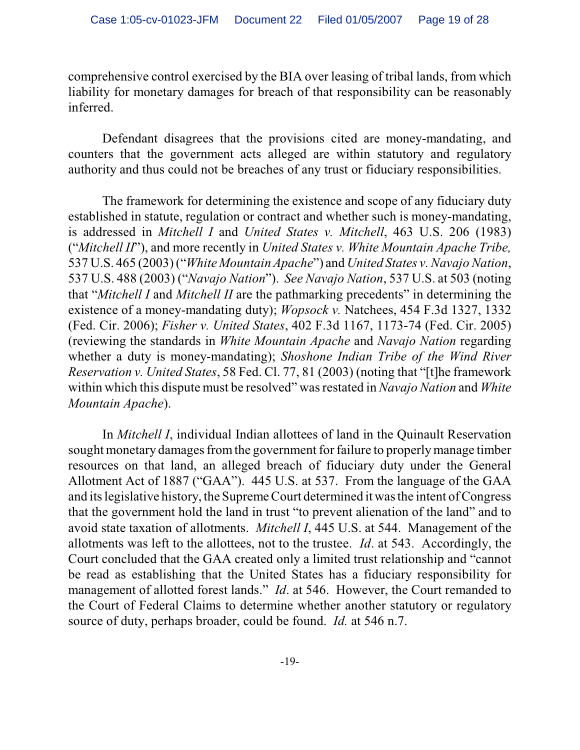comprehensive control exercised by the BIA over leasing of tribal lands, from which liability for monetary damages for breach of that responsibility can be reasonably inferred.

Defendant disagrees that the provisions cited are money-mandating, and counters that the government acts alleged are within statutory and regulatory authority and thus could not be breaches of any trust or fiduciary responsibilities.

The framework for determining the existence and scope of any fiduciary duty established in statute, regulation or contract and whether such is money-mandating, is addressed in *Mitchell I* and *United States v. Mitchell*, 463 U.S. 206 (1983) ("*Mitchell II*"), and more recently in *United States v. White Mountain Apache Tribe,* 537 U.S. 465 (2003) ("*White Mountain Apache*") and *United States v. Navajo Nation*, 537 U.S. 488 (2003) ("*Navajo Nation*"). *See Navajo Nation*, 537 U.S. at 503 (noting that "*Mitchell I* and *Mitchell II* are the pathmarking precedents" in determining the existence of a money-mandating duty); *Wopsock v.* Natchees, 454 F.3d 1327, 1332 (Fed. Cir. 2006); *Fisher v. United States*, 402 F.3d 1167, 1173-74 (Fed. Cir. 2005) (reviewing the standards in *White Mountain Apache* and *Navajo Nation* regarding whether a duty is money-mandating); *Shoshone Indian Tribe of the Wind River Reservation v. United States*, 58 Fed. Cl. 77, 81 (2003) (noting that "[t]he framework within which this dispute must be resolved" was restated in *Navajo Nation* and *White Mountain Apache*).

In *Mitchell I*, individual Indian allottees of land in the Quinault Reservation sought monetary damages fromthe government for failure to properlymanage timber resources on that land, an alleged breach of fiduciary duty under the General Allotment Act of 1887 ("GAA"). 445 U.S. at 537. From the language of the GAA and its legislative history, the Supreme Court determined it wasthe intent of Congress that the government hold the land in trust "to prevent alienation of the land" and to avoid state taxation of allotments. *Mitchell I*, 445 U.S. at 544. Management of the allotments was left to the allottees, not to the trustee. *Id*. at 543. Accordingly, the Court concluded that the GAA created only a limited trust relationship and "cannot be read as establishing that the United States has a fiduciary responsibility for management of allotted forest lands." *Id*. at 546. However, the Court remanded to the Court of Federal Claims to determine whether another statutory or regulatory source of duty, perhaps broader, could be found. *Id.* at 546 n.7.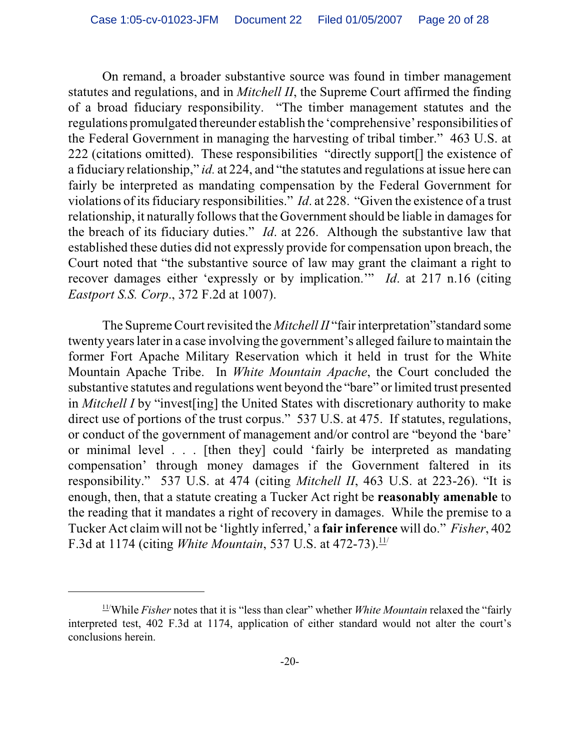On remand, a broader substantive source was found in timber management statutes and regulations, and in *Mitchell II*, the Supreme Court affirmed the finding of a broad fiduciary responsibility. "The timber management statutes and the regulations promulgated thereunder establish the 'comprehensive' responsibilities of the Federal Government in managing the harvesting of tribal timber." 463 U.S. at 222 (citations omitted). These responsibilities "directly support[] the existence of a fiduciary relationship," *id.* at 224, and "the statutes and regulations at issue here can fairly be interpreted as mandating compensation by the Federal Government for violations of its fiduciary responsibilities." *Id*. at 228. "Given the existence of a trust relationship, it naturally follows that the Government should be liable in damages for the breach of its fiduciary duties." *Id*. at 226. Although the substantive law that established these duties did not expressly provide for compensation upon breach, the Court noted that "the substantive source of law may grant the claimant a right to recover damages either 'expressly or by implication.'" *Id*. at 217 n.16 (citing *Eastport S.S. Corp*., 372 F.2d at 1007).

The Supreme Court revisited the *Mitchell II* "fair interpretation"standard some twenty years later in a case involving the government's alleged failure to maintain the former Fort Apache Military Reservation which it held in trust for the White Mountain Apache Tribe. In *White Mountain Apache*, the Court concluded the substantive statutes and regulations went beyond the "bare" or limited trust presented in *Mitchell I* by "invest[ing] the United States with discretionary authority to make direct use of portions of the trust corpus." 537 U.S. at 475. If statutes, regulations, or conduct of the government of management and/or control are "beyond the 'bare' or minimal level . . . [then they] could 'fairly be interpreted as mandating compensation' through money damages if the Government faltered in its responsibility." 537 U.S. at 474 (citing *Mitchell II*, 463 U.S. at 223-26). "It is enough, then, that a statute creating a Tucker Act right be **reasonably amenable** to the reading that it mandates a right of recovery in damages. While the premise to a Tucker Act claim will not be 'lightly inferred,' a **fair inference** will do." *Fisher*, 402 F.3d at 1174 (citing *White Mountain*, 537 U.S. at 472-73).<sup>11/</sup>

 $11$ <sup>While</sup> *Fisher* notes that it is "less than clear" whether *White Mountain* relaxed the "fairly" interpreted test, 402 F.3d at 1174, application of either standard would not alter the court's conclusions herein.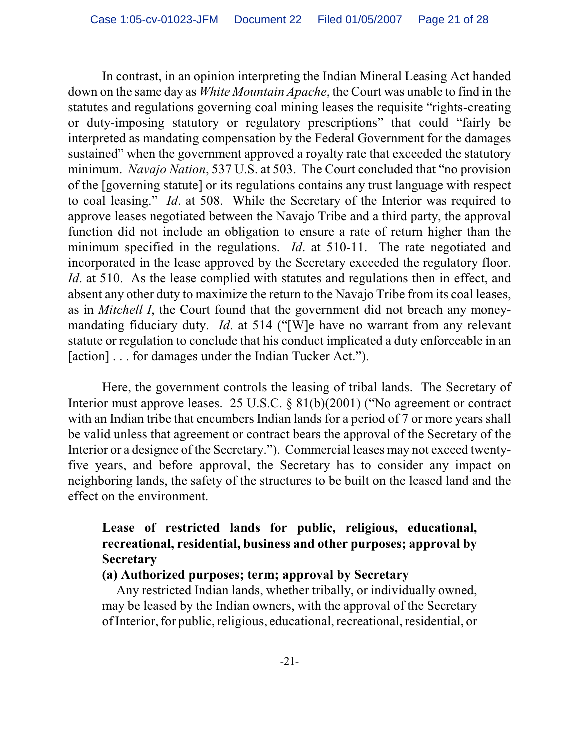In contrast, in an opinion interpreting the Indian Mineral Leasing Act handed down on the same day as *White Mountain Apache*, the Court was unable to find in the statutes and regulations governing coal mining leases the requisite "rights-creating or duty-imposing statutory or regulatory prescriptions" that could "fairly be interpreted as mandating compensation by the Federal Government for the damages sustained" when the government approved a royalty rate that exceeded the statutory minimum. *Navajo Nation*, 537 U.S. at 503. The Court concluded that "no provision of the [governing statute] or its regulations contains any trust language with respect to coal leasing." *Id*. at 508. While the Secretary of the Interior was required to approve leases negotiated between the Navajo Tribe and a third party, the approval function did not include an obligation to ensure a rate of return higher than the minimum specified in the regulations. *Id*. at 510-11. The rate negotiated and incorporated in the lease approved by the Secretary exceeded the regulatory floor. *Id*. at 510. As the lease complied with statutes and regulations then in effect, and absent any other duty to maximize the return to the Navajo Tribe from its coal leases, as in *Mitchell I*, the Court found that the government did not breach any moneymandating fiduciary duty. *Id*. at 514 ("[W]e have no warrant from any relevant statute or regulation to conclude that his conduct implicated a duty enforceable in an [action] . . . for damages under the Indian Tucker Act.").

Here, the government controls the leasing of tribal lands. The Secretary of Interior must approve leases. 25 U.S.C. § 81(b)(2001) ("No agreement or contract with an Indian tribe that encumbers Indian lands for a period of 7 or more years shall be valid unless that agreement or contract bears the approval of the Secretary of the Interior or a designee of the Secretary."). Commercial leases may not exceed twentyfive years, and before approval, the Secretary has to consider any impact on neighboring lands, the safety of the structures to be built on the leased land and the effect on the environment.

# **Lease of restricted lands for public, religious, educational, recreational, residential, business and other purposes; approval by Secretary**

#### **(a) Authorized purposes; term; approval by Secretary**

 Any restricted Indian lands, whether tribally, or individually owned, may be leased by the Indian owners, with the approval of the Secretary ofInterior, for public, religious, educational, recreational, residential, or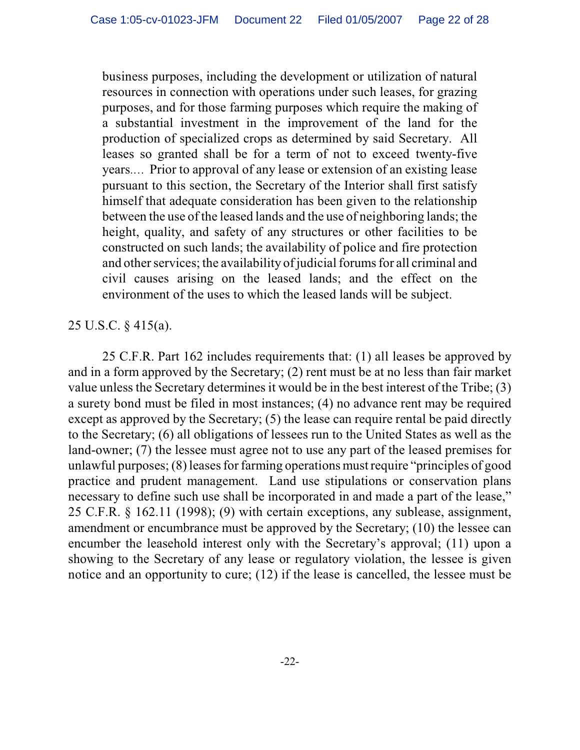business purposes, including the development or utilization of natural resources in connection with operations under such leases, for grazing purposes, and for those farming purposes which require the making of a substantial investment in the improvement of the land for the production of specialized crops as determined by said Secretary. All leases so granted shall be for a term of not to exceed twenty-five years.… Prior to approval of any lease or extension of an existing lease pursuant to this section, the Secretary of the Interior shall first satisfy himself that adequate consideration has been given to the relationship between the use of the leased lands and the use of neighboring lands; the height, quality, and safety of any structures or other facilities to be constructed on such lands; the availability of police and fire protection and other services; the availability of judicial forums for all criminal and civil causes arising on the leased lands; and the effect on the environment of the uses to which the leased lands will be subject.

#### 25 U.S.C. § 415(a).

25 C.F.R. Part 162 includes requirements that: (1) all leases be approved by and in a form approved by the Secretary; (2) rent must be at no less than fair market value unless the Secretary determines it would be in the best interest of the Tribe; (3) a surety bond must be filed in most instances; (4) no advance rent may be required except as approved by the Secretary; (5) the lease can require rental be paid directly to the Secretary; (6) all obligations of lessees run to the United States as well as the land-owner; (7) the lessee must agree not to use any part of the leased premises for unlawful purposes;  $(8)$  leases for farming operations must require "principles of good practice and prudent management. Land use stipulations or conservation plans necessary to define such use shall be incorporated in and made a part of the lease," 25 C.F.R. § 162.11 (1998); (9) with certain exceptions, any sublease, assignment, amendment or encumbrance must be approved by the Secretary; (10) the lessee can encumber the leasehold interest only with the Secretary's approval; (11) upon a showing to the Secretary of any lease or regulatory violation, the lessee is given notice and an opportunity to cure; (12) if the lease is cancelled, the lessee must be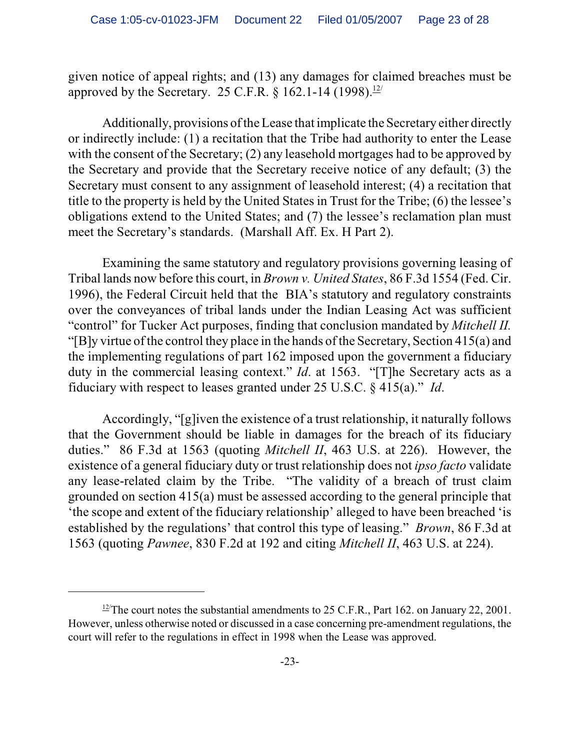given notice of appeal rights; and (13) any damages for claimed breaches must be approved by the Secretary. 25 C.F.R.  $\frac{8}{162.1}$ -14 (1998).<sup>12/</sup>

Additionally, provisions of the Lease that implicate the Secretary either directly or indirectly include: (1) a recitation that the Tribe had authority to enter the Lease with the consent of the Secretary; (2) any leasehold mortgages had to be approved by the Secretary and provide that the Secretary receive notice of any default; (3) the Secretary must consent to any assignment of leasehold interest; (4) a recitation that title to the property is held by the United States in Trust for the Tribe; (6) the lessee's obligations extend to the United States; and (7) the lessee's reclamation plan must meet the Secretary's standards. (Marshall Aff. Ex. H Part 2).

Examining the same statutory and regulatory provisions governing leasing of Tribal lands now before this court, in *Brown v. United States*, 86 F.3d 1554 (Fed. Cir. 1996), the Federal Circuit held that the BIA's statutory and regulatory constraints over the conveyances of tribal lands under the Indian Leasing Act was sufficient "control" for Tucker Act purposes, finding that conclusion mandated by *Mitchell II.* "[B]y virtue of the control they place in the hands of the Secretary, Section 415(a) and the implementing regulations of part 162 imposed upon the government a fiduciary duty in the commercial leasing context." *Id.* at 1563. "[T]he Secretary acts as a fiduciary with respect to leases granted under 25 U.S.C. § 415(a)." *Id*.

Accordingly, "[g]iven the existence of a trust relationship, it naturally follows that the Government should be liable in damages for the breach of its fiduciary duties." 86 F.3d at 1563 (quoting *Mitchell II*, 463 U.S. at 226). However, the existence of a general fiduciary duty or trust relationship does not *ipso facto* validate any lease-related claim by the Tribe. "The validity of a breach of trust claim grounded on section 415(a) must be assessed according to the general principle that 'the scope and extent of the fiduciary relationship' alleged to have been breached 'is established by the regulations' that control this type of leasing." *Brown*, 86 F.3d at 1563 (quoting *Pawnee*, 830 F.2d at 192 and citing *Mitchell II*, 463 U.S. at 224).

 $\frac{12}{12}$ The court notes the substantial amendments to 25 C.F.R., Part 162. on January 22, 2001. However, unless otherwise noted or discussed in a case concerning pre-amendment regulations, the court will refer to the regulations in effect in 1998 when the Lease was approved.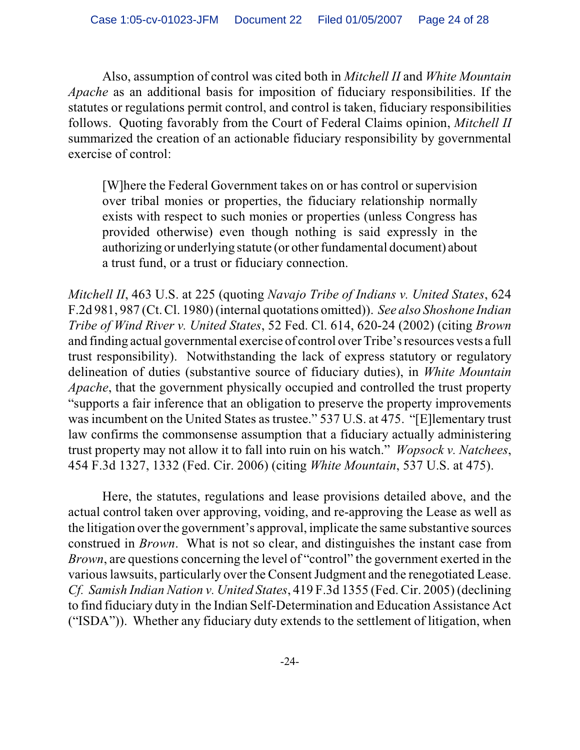Also, assumption of control was cited both in *Mitchell II* and *White Mountain Apache* as an additional basis for imposition of fiduciary responsibilities. If the statutes or regulations permit control, and control is taken, fiduciary responsibilities follows. Quoting favorably from the Court of Federal Claims opinion, *Mitchell II* summarized the creation of an actionable fiduciary responsibility by governmental exercise of control:

[W]here the Federal Government takes on or has control or supervision over tribal monies or properties, the fiduciary relationship normally exists with respect to such monies or properties (unless Congress has provided otherwise) even though nothing is said expressly in the authorizing or underlying statute (or other fundamental document) about a trust fund, or a trust or fiduciary connection.

*Mitchell II*, 463 U.S. at 225 (quoting *Navajo Tribe of Indians v. United States*, 624 F.2d 981, 987 (Ct. Cl. 1980) (internal quotations omitted)). *See also Shoshone Indian Tribe of Wind River v. United States*, 52 Fed. Cl. 614, 620-24 (2002) (citing *Brown* and finding actual governmental exercise of control over Tribe's resources vests a full trust responsibility). Notwithstanding the lack of express statutory or regulatory delineation of duties (substantive source of fiduciary duties), in *White Mountain Apache*, that the government physically occupied and controlled the trust property "supports a fair inference that an obligation to preserve the property improvements was incumbent on the United States as trustee." 537 U.S. at 475. "[E]lementary trust law confirms the commonsense assumption that a fiduciary actually administering trust property may not allow it to fall into ruin on his watch." *Wopsock v. Natchees*, 454 F.3d 1327, 1332 (Fed. Cir. 2006) (citing *White Mountain*, 537 U.S. at 475).

Here, the statutes, regulations and lease provisions detailed above, and the actual control taken over approving, voiding, and re-approving the Lease as well as the litigation over the government's approval, implicate the same substantive sources construed in *Brown*. What is not so clear, and distinguishes the instant case from *Brown*, are questions concerning the level of "control" the government exerted in the various lawsuits, particularly over the Consent Judgment and the renegotiated Lease. *Cf. Samish Indian Nation v. United States*, 419 F.3d 1355 (Fed. Cir. 2005) (declining to find fiduciary duty in the Indian Self-Determination and Education Assistance Act ("ISDA")). Whether any fiduciary duty extends to the settlement of litigation, when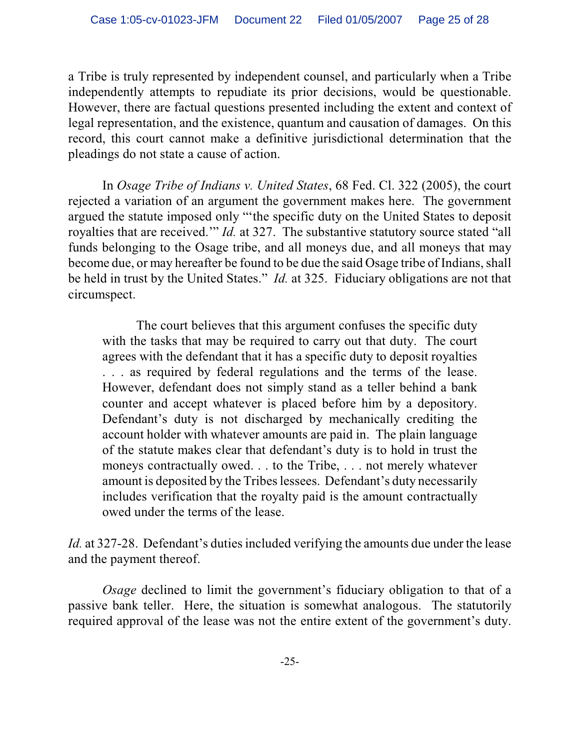a Tribe is truly represented by independent counsel, and particularly when a Tribe independently attempts to repudiate its prior decisions, would be questionable. However, there are factual questions presented including the extent and context of legal representation, and the existence, quantum and causation of damages. On this record, this court cannot make a definitive jurisdictional determination that the pleadings do not state a cause of action.

In *Osage Tribe of Indians v. United States*, 68 Fed. Cl. 322 (2005), the court rejected a variation of an argument the government makes here. The government argued the statute imposed only "'the specific duty on the United States to deposit royalties that are received.'" *Id.* at 327. The substantive statutory source stated "all funds belonging to the Osage tribe, and all moneys due, and all moneys that may become due, or may hereafter be found to be due the said Osage tribe of Indians, shall be held in trust by the United States." *Id.* at 325. Fiduciary obligations are not that circumspect.

The court believes that this argument confuses the specific duty with the tasks that may be required to carry out that duty. The court agrees with the defendant that it has a specific duty to deposit royalties . . . as required by federal regulations and the terms of the lease. However, defendant does not simply stand as a teller behind a bank counter and accept whatever is placed before him by a depository. Defendant's duty is not discharged by mechanically crediting the account holder with whatever amounts are paid in. The plain language of the statute makes clear that defendant's duty is to hold in trust the moneys contractually owed. . . to the Tribe, . . . not merely whatever amount is deposited by the Tribes lessees. Defendant's duty necessarily includes verification that the royalty paid is the amount contractually owed under the terms of the lease.

*Id.* at 327-28. Defendant's duties included verifying the amounts due under the lease and the payment thereof.

*Osage* declined to limit the government's fiduciary obligation to that of a passive bank teller. Here, the situation is somewhat analogous. The statutorily required approval of the lease was not the entire extent of the government's duty.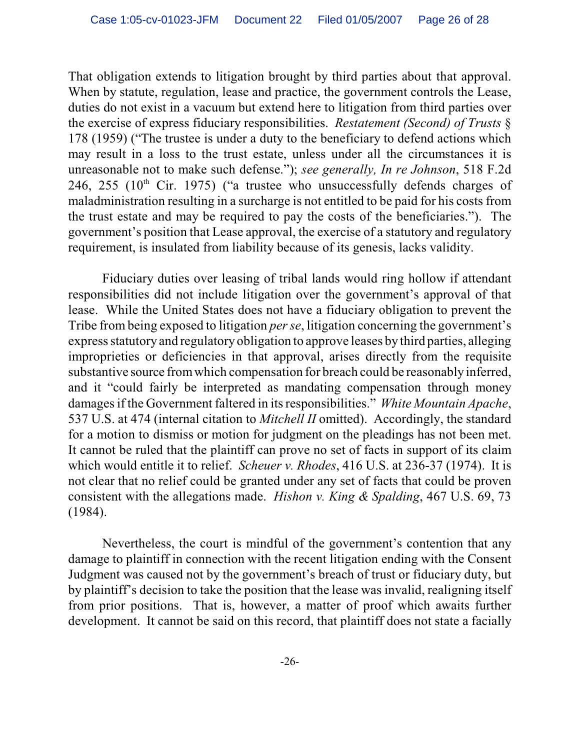That obligation extends to litigation brought by third parties about that approval. When by statute, regulation, lease and practice, the government controls the Lease, duties do not exist in a vacuum but extend here to litigation from third parties over the exercise of express fiduciary responsibilities. *Restatement (Second) of Trusts* § 178 (1959) ("The trustee is under a duty to the beneficiary to defend actions which may result in a loss to the trust estate, unless under all the circumstances it is unreasonable not to make such defense."); *see generally, In re Johnson*, 518 F.2d 246, 255 ( $10<sup>th</sup>$  Cir. 1975) ("a trustee who unsuccessfully defends charges of maladministration resulting in a surcharge is not entitled to be paid for his costs from the trust estate and may be required to pay the costs of the beneficiaries."). The government's position that Lease approval, the exercise of a statutory and regulatory requirement, is insulated from liability because of its genesis, lacks validity.

Fiduciary duties over leasing of tribal lands would ring hollow if attendant responsibilities did not include litigation over the government's approval of that lease. While the United States does not have a fiduciary obligation to prevent the Tribe from being exposed to litigation *per se*, litigation concerning the government's express statutory and regulatory obligation to approve leases by third parties, alleging improprieties or deficiencies in that approval, arises directly from the requisite substantive source from which compensation for breach could be reasonably inferred, and it "could fairly be interpreted as mandating compensation through money damages if the Government faltered in its responsibilities." *White Mountain Apache*, 537 U.S. at 474 (internal citation to *Mitchell II* omitted). Accordingly, the standard for a motion to dismiss or motion for judgment on the pleadings has not been met. It cannot be ruled that the plaintiff can prove no set of facts in support of its claim which would entitle it to relief. *Scheuer v. Rhodes*, 416 U.S. at 236-37 (1974). It is not clear that no relief could be granted under any set of facts that could be proven consistent with the allegations made. *Hishon v. King & Spalding*, 467 U.S. 69, 73 (1984).

Nevertheless, the court is mindful of the government's contention that any damage to plaintiff in connection with the recent litigation ending with the Consent Judgment was caused not by the government's breach of trust or fiduciary duty, but by plaintiff's decision to take the position that the lease was invalid, realigning itself from prior positions. That is, however, a matter of proof which awaits further development. It cannot be said on this record, that plaintiff does not state a facially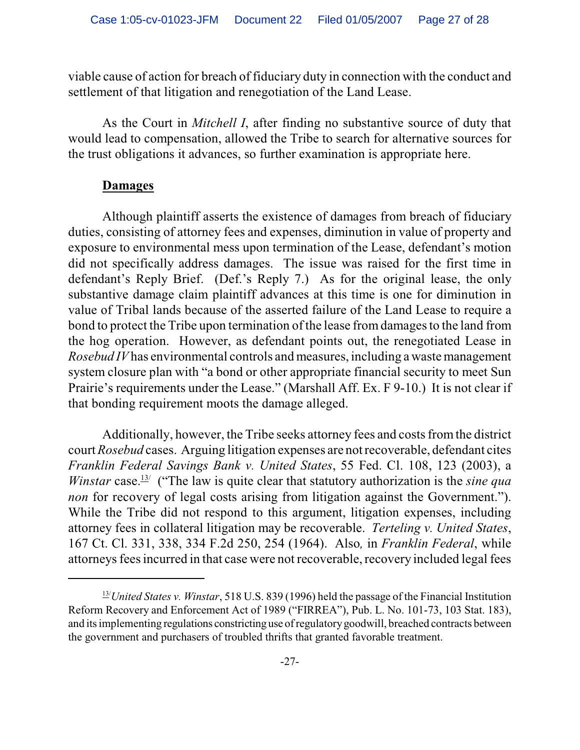viable cause of action for breach of fiduciary duty in connection with the conduct and settlement of that litigation and renegotiation of the Land Lease.

As the Court in *Mitchell I*, after finding no substantive source of duty that would lead to compensation, allowed the Tribe to search for alternative sources for the trust obligations it advances, so further examination is appropriate here.

#### **Damages**

Although plaintiff asserts the existence of damages from breach of fiduciary duties, consisting of attorney fees and expenses, diminution in value of property and exposure to environmental mess upon termination of the Lease, defendant's motion did not specifically address damages. The issue was raised for the first time in defendant's Reply Brief. (Def.'s Reply 7.) As for the original lease, the only substantive damage claim plaintiff advances at this time is one for diminution in value of Tribal lands because of the asserted failure of the Land Lease to require a bond to protect the Tribe upon termination of the lease from damages to the land from the hog operation. However, as defendant points out, the renegotiated Lease in *Rosebud IV* has environmental controls and measures, including a waste management system closure plan with "a bond or other appropriate financial security to meet Sun Prairie's requirements under the Lease." (Marshall Aff. Ex. F 9-10.) It is not clear if that bonding requirement moots the damage alleged.

Additionally, however, the Tribe seeks attorney fees and costs from the district court *Rosebud* cases. Arguing litigation expenses are not recoverable, defendant cites *Franklin Federal Savings Bank v. United States*, 55 Fed. Cl. 108, 123 (2003), a *Winstar* case.<sup>13/</sup> ("The law is quite clear that statutory authorization is the *sine qua non* for recovery of legal costs arising from litigation against the Government."). While the Tribe did not respond to this argument, litigation expenses, including attorney fees in collateral litigation may be recoverable. *Terteling v. United States*, 167 Ct. Cl. 331, 338, 334 F.2d 250, 254 (1964). Also*,* in *Franklin Federal*, while attorneys fees incurred in that case were not recoverable, recovery included legal fees

 $\frac{13}{2}$ *United States v. Winstar*, 518 U.S. 839 (1996) held the passage of the Financial Institution Reform Recovery and Enforcement Act of 1989 ("FIRREA"), Pub. L. No. 101-73, 103 Stat. 183), and its implementing regulations constricting use of regulatory goodwill, breached contracts between the government and purchasers of troubled thrifts that granted favorable treatment.